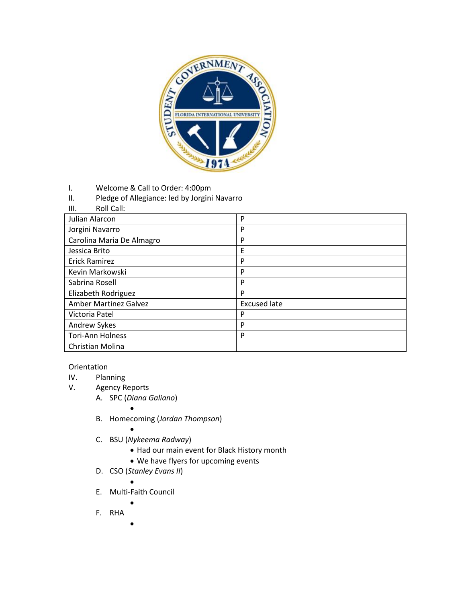

- I. Welcome & Call to Order: 4:00pm
- II. Pledge of Allegiance: led by Jorgini Navarro

## III. Roll Call:

| Julian Alarcon               | P                   |
|------------------------------|---------------------|
| Jorgini Navarro              | P                   |
| Carolina Maria De Almagro    | P                   |
| Jessica Brito                | E                   |
| <b>Erick Ramirez</b>         | P                   |
| Kevin Markowski              | P                   |
| Sabrina Rosell               | P                   |
| Elizabeth Rodriguez          | P                   |
| <b>Amber Martinez Galvez</b> | <b>Excused late</b> |
| Victoria Patel               | P                   |
| Andrew Sykes                 | P                   |
| <b>Tori-Ann Holness</b>      | P                   |
| Christian Molina             |                     |

## Orientation

- IV. Planning<br>V. Agency R
	- Agency Reports
		- A. SPC (*Diana Galiano*)
			- $\bullet$
		- B. Homecoming (*Jordan Thompson*)
			-
		- $\bullet$ C. BSU (*Nykeema Radway*)
			- Had our main event for Black History month
			- We have flyers for upcoming events
		- D. CSO (*Stanley Evans II*)
			- $\bullet$
		- E. Multi-Faith Council  $\bullet$ 
			-
		- F. RHA
			- $\bullet$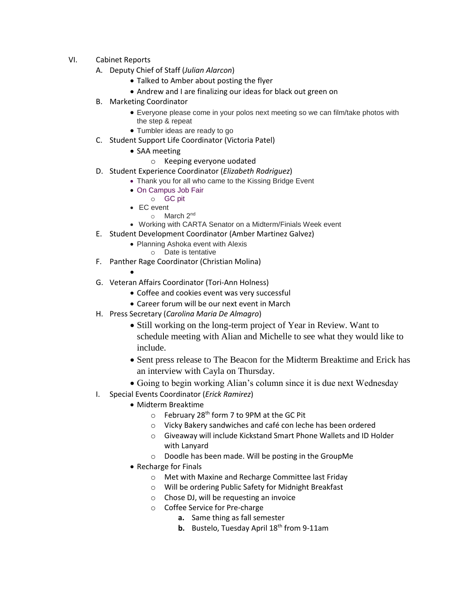- VI. Cabinet Reports
	- A. Deputy Chief of Staff (*Julian Alarcon*)
		- Talked to Amber about posting the flyer
		- Andrew and I are finalizing our ideas for black out green on
	- B. Marketing Coordinator
		- Everyone please come in your polos next meeting so we can film/take photos with the step & repeat
		- Tumbler ideas are ready to go
	- C. Student Support Life Coordinator (Victoria Patel)
		- SAA meeting
			- o Keeping everyone uodated
	- D. Student Experience Coordinator (*Elizabeth Rodriguez*)
		- Thank you for all who came to the Kissing Bridge Event
		- On Campus Job Fair
		- o GC pit
		- EC event o March 2<sup>nd</sup>
		- Working with CARTA Senator on a Midterm/Finials Week event
	- E. Student Development Coordinator (Amber Martinez Galvez)
		- Planning Ashoka event with Alexis
			- o Date is tentative
	- F. Panther Rage Coordinator (Christian Molina)
		- $\bullet$
	- G. Veteran Affairs Coordinator (Tori-Ann Holness)
		- Coffee and cookies event was very successful
		- Career forum will be our next event in March
	- H. Press Secretary (*Carolina Maria De Almagro*)
		- Still working on the long-term project of Year in Review. Want to schedule meeting with Alian and Michelle to see what they would like to include.
		- Sent press release to The Beacon for the Midterm Breaktime and Erick has an interview with Cayla on Thursday.
		- Going to begin working Alian's column since it is due next Wednesday
	- I. Special Events Coordinator (*Erick Ramirez*)
		- Midterm Breaktime
			- $\circ$  February 28<sup>th</sup> form 7 to 9PM at the GC Pit
			- o Vicky Bakery sandwiches and café con leche has been ordered
			- o Giveaway will include Kickstand Smart Phone Wallets and ID Holder with Lanyard
			- o Doodle has been made. Will be posting in the GroupMe
		- Recharge for Finals
			- o Met with Maxine and Recharge Committee last Friday
			- o Will be ordering Public Safety for Midnight Breakfast
			- o Chose DJ, will be requesting an invoice
			- o Coffee Service for Pre-charge
				- **a.** Same thing as fall semester
				- **b.** Bustelo, Tuesday April 18<sup>th</sup> from 9-11am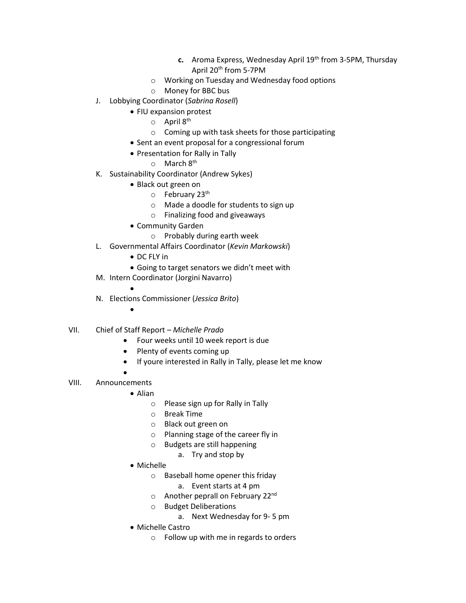- **c.** Aroma Express, Wednesday April 19<sup>th</sup> from 3-5PM, Thursday April 20th from 5-7PM
- o Working on Tuesday and Wednesday food options
- o Money for BBC bus
- J. Lobbying Coordinator (*Sabrina Rosell*)
	- FIU expansion protest
		- $\circ$  April 8<sup>th</sup>
		- o Coming up with task sheets for those participating
	- Sent an event proposal for a congressional forum
	- Presentation for Rally in Tally
		- $\circ$  March  $8^{th}$
- K. Sustainability Coordinator (Andrew Sykes)
	- Black out green on
		- $\circ$  February 23<sup>th</sup>
		- o Made a doodle for students to sign up
		- o Finalizing food and giveaways
	- Community Garden
		- o Probably during earth week
- L. Governmental Affairs Coordinator (*Kevin Markowski*)
	- DC FLY in
	- Going to target senators we didn't meet with
- M. Intern Coordinator (Jorgini Navarro)
	-
- N. Elections Commissioner (*Jessica Brito*)
	- $\bullet$

 $\bullet$ 

- VII. Chief of Staff Report *Michelle Prado*
	- Four weeks until 10 week report is due
	- Plenty of events coming up
	- If youre interested in Rally in Tally, please let me know
	- $\bullet$
- VIII. Announcements
	- Alian
		- o Please sign up for Rally in Tally
		- o Break Time
		- o Black out green on
		- o Planning stage of the career fly in
		- o Budgets are still happening
			- a. Try and stop by
	- Michelle
		- o Baseball home opener this friday
			- a. Event starts at 4 pm
		- $\circ$  Another peprall on February 22<sup>nd</sup>
		- o Budget Deliberations
			- a. Next Wednesday for 9- 5 pm
	- Michelle Castro
		- o Follow up with me in regards to orders